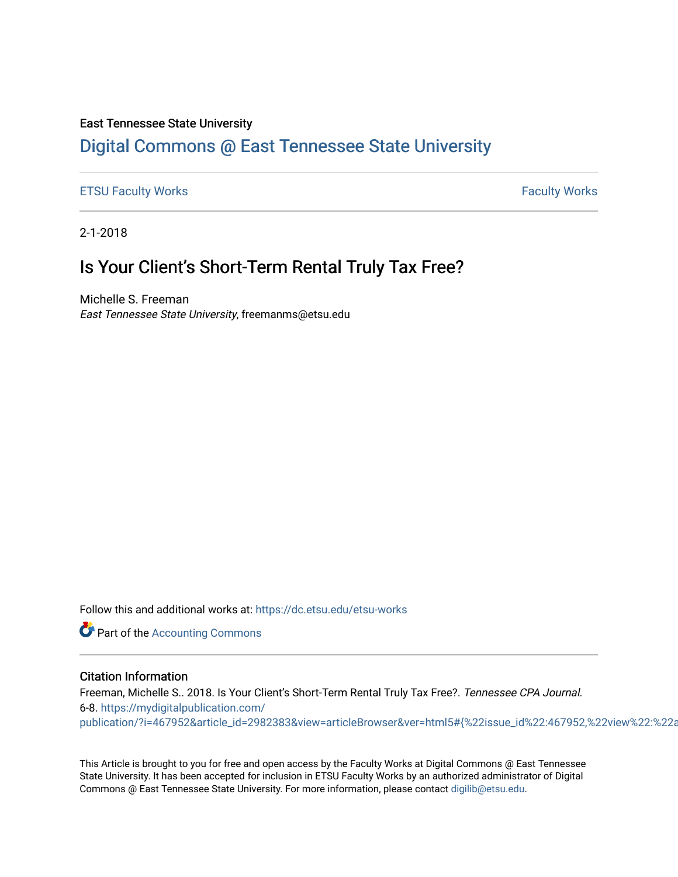### East Tennessee State University

### [Digital Commons @ East Tennessee State University](https://dc.etsu.edu/)

#### [ETSU Faculty Works](https://dc.etsu.edu/etsu-works) **Faculty Works** [Faculty Works](https://dc.etsu.edu/faculty-works) **Faculty Works**

2-1-2018

## Is Your Client's Short-Term Rental Truly Tax Free?

Michelle S. Freeman East Tennessee State University, freemanms@etsu.edu

Follow this and additional works at: [https://dc.etsu.edu/etsu-works](https://dc.etsu.edu/etsu-works?utm_source=dc.etsu.edu%2Fetsu-works%2F5773&utm_medium=PDF&utm_campaign=PDFCoverPages) 

**Part of the [Accounting Commons](http://network.bepress.com/hgg/discipline/625?utm_source=dc.etsu.edu%2Fetsu-works%2F5773&utm_medium=PDF&utm_campaign=PDFCoverPages)** 

#### Citation Information

Freeman, Michelle S.. 2018. Is Your Client's Short-Term Rental Truly Tax Free?. Tennessee CPA Journal. 6-8. [https://mydigitalpublication.com/](https://mydigitalpublication.com/publication/?i=467952&article_id=2982383&view=articleBrowser&ver=html5#{%22issue_id%22:467952,%22view%22:%22articleBrowser%22,%22article_id%22:%222982383%22}) publication/?i=467952&article\_id=2982383&view=articleBrowser&ver=html5#{%22issue\_id%22:467952,%22view%22:%22a

This Article is brought to you for free and open access by the Faculty Works at Digital Commons @ East Tennessee State University. It has been accepted for inclusion in ETSU Faculty Works by an authorized administrator of Digital Commons @ East Tennessee State University. For more information, please contact [digilib@etsu.edu.](mailto:digilib@etsu.edu)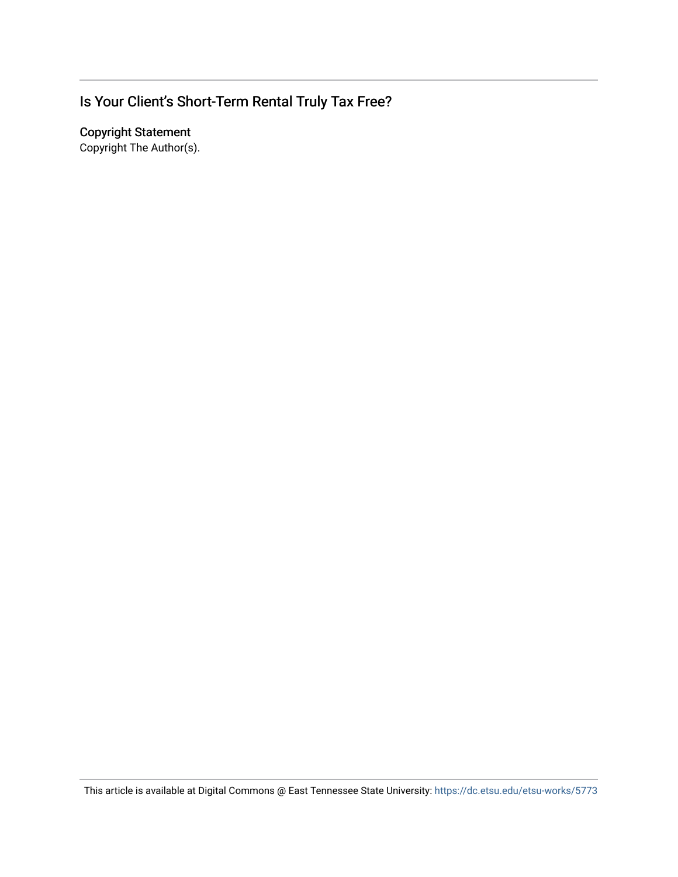# Is Your Client's Short-Term Rental Truly Tax Free?

Copyright Statement

Copyright The Author(s).

This article is available at Digital Commons @ East Tennessee State University: <https://dc.etsu.edu/etsu-works/5773>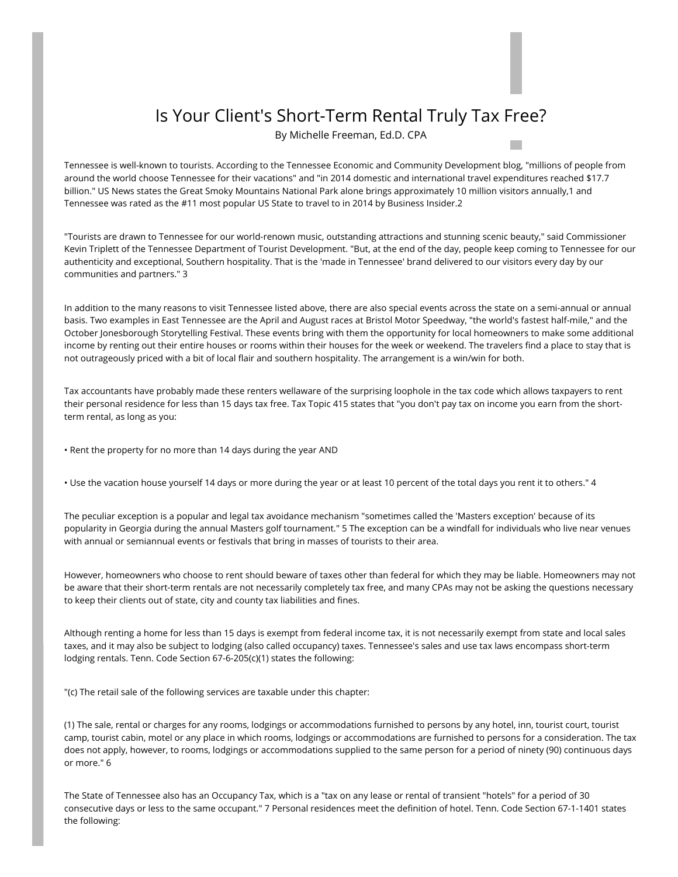## Is Your Client's Short-Term Rental Truly Tax Free?

By Michelle Freeman, Ed.D. CPA

 $\mathcal{O}(\mathbb{R}^d)$ 

Tennessee is well-known to tourists. According to the Tennessee Economic and Community Development blog, "millions of people from around the world choose Tennessee for their vacations" and "in 2014 domestic and international travel expenditures reached \$17.7 billion." US News states the Great Smoky Mountains National Park alone brings approximately 10 million visitors annually,1 and Tennessee was rated as the #11 most popular US State to travel to in 2014 by Business Insider.2

"Tourists are drawn to Tennessee for our world-renown music, outstanding attractions and stunning scenic beauty," said Commissioner Kevin Triplett of the Tennessee Department of Tourist Development. "But, at the end of the day, people keep coming to Tennessee for our authenticity and exceptional, Southern hospitality. That is the 'made in Tennessee' brand delivered to our visitors every day by our communities and partners." 3

In addition to the many reasons to visit Tennessee listed above, there are also special events across the state on a semi-annual or annual basis. Two examples in East Tennessee are the April and August races at Bristol Motor Speedway, "the world's fastest half-mile," and the October Jonesborough Storytelling Festival. These events bring with them the opportunity for local homeowners to make some additional income by renting out their entire houses or rooms within their houses for the week or weekend. The travelers find a place to stay that is not outrageously priced with a bit of local flair and southern hospitality. The arrangement is a win/win for both.

Tax accountants have probably made these renters wellaware of the surprising loophole in the tax code which allows taxpayers to rent their personal residence for less than 15 days tax free. Tax Topic 415 states that "you don't pay tax on income you earn from the shortterm rental, as long as you:

- Rent the property for no more than 14 days during the year AND
- Use the vacation house yourself 14 days or more during the year or at least 10 percent of the total days you rent it to others." 4

The peculiar exception is a popular and legal tax avoidance mechanism "sometimes called the 'Masters exception' because of its popularity in Georgia during the annual Masters golf tournament." 5 The exception can be a windfall for individuals who live near venues with annual or semiannual events or festivals that bring in masses of tourists to their area.

However, homeowners who choose to rent should beware of taxes other than federal for which they may be liable. Homeowners may not be aware that their short-term rentals are not necessarily completely tax free, and many CPAs may not be asking the questions necessary to keep their clients out of state, city and county tax liabilities and fines.

Although renting a home for less than 15 days is exempt from federal income tax, it is not necessarily exempt from state and local sales taxes, and it may also be subject to lodging (also called occupancy) taxes. Tennessee's sales and use tax laws encompass short-term lodging rentals. Tenn. Code Section 67-6-205(c)(1) states the following:

"(c) The retail sale of the following services are taxable under this chapter:

(1) The sale, rental or charges for any rooms, lodgings or accommodations furnished to persons by any hotel, inn, tourist court, tourist camp, tourist cabin, motel or any place in which rooms, lodgings or accommodations are furnished to persons for a consideration. The tax does not apply, however, to rooms, lodgings or accommodations supplied to the same person for a period of ninety (90) continuous days or more." 6

The State of Tennessee also has an Occupancy Tax, which is a "tax on any lease or rental of transient "hotels" for a period of 30 consecutive days or less to the same occupant." 7 Personal residences meet the definition of hotel. Tenn. Code Section 67-1-1401 states the following: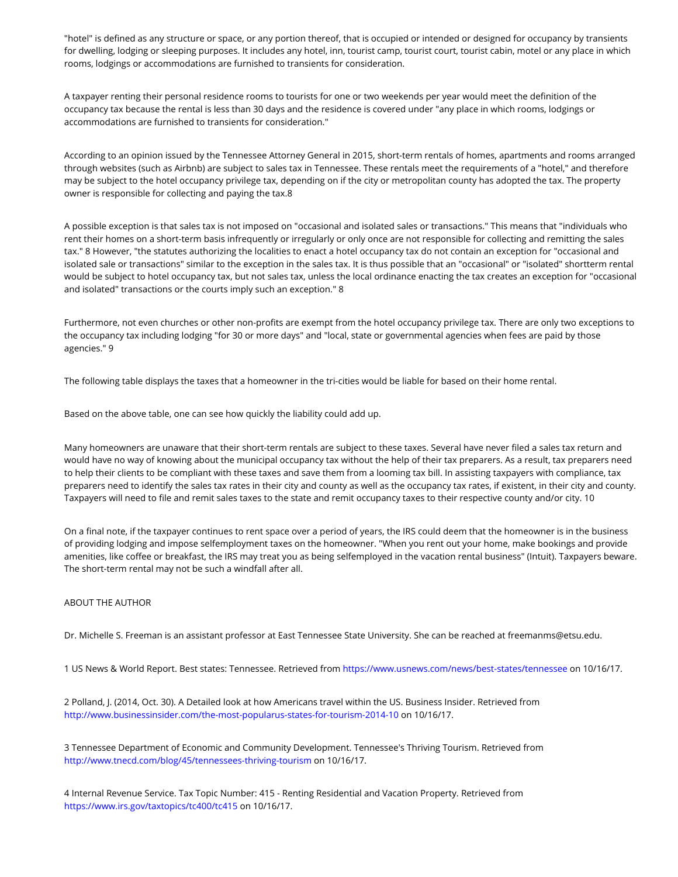"hotel" is defined as any structure or space, or any portion thereof, that is occupied or intended or designed for occupancy by transients for dwelling, lodging or sleeping purposes. It includes any hotel, inn, tourist camp, tourist court, tourist cabin, motel or any place in which rooms, lodgings or accommodations are furnished to transients for consideration.

A taxpayer renting their personal residence rooms to tourists for one or two weekends per year would meet the definition of the occupancy tax because the rental is less than 30 days and the residence is covered under "any place in which rooms, lodgings or accommodations are furnished to transients for consideration."

According to an opinion issued by the Tennessee Attorney General in 2015, short-term rentals of homes, apartments and rooms arranged through websites (such as Airbnb) are subject to sales tax in Tennessee. These rentals meet the requirements of a "hotel," and therefore may be subject to the hotel occupancy privilege tax, depending on if the city or metropolitan county has adopted the tax. The property owner is responsible for collecting and paying the tax.8

A possible exception is that sales tax is not imposed on "occasional and isolated sales or transactions." This means that "individuals who rent their homes on a short-term basis infrequently or irregularly or only once are not responsible for collecting and remitting the sales tax." 8 However, "the statutes authorizing the localities to enact a hotel occupancy tax do not contain an exception for "occasional and isolated sale or transactions" similar to the exception in the sales tax. It is thus possible that an "occasional" or "isolated" shortterm rental would be subject to hotel occupancy tax, but not sales tax, unless the local ordinance enacting the tax creates an exception for "occasional and isolated" transactions or the courts imply such an exception." 8

Furthermore, not even churches or other non-profits are exempt from the hotel occupancy privilege tax. There are only two exceptions to the occupancy tax including lodging "for 30 or more days" and "local, state or governmental agencies when fees are paid by those agencies." 9

The following table displays the taxes that a homeowner in the tri-cities would be liable for based on their home rental.

Based on the above table, one can see how quickly the liability could add up.

Many homeowners are unaware that their short-term rentals are subject to these taxes. Several have never filed a sales tax return and would have no way of knowing about the municipal occupancy tax without the help of their tax preparers. As a result, tax preparers need to help their clients to be compliant with these taxes and save them from a looming tax bill. In assisting taxpayers with compliance, tax preparers need to identify the sales tax rates in their city and county as well as the occupancy tax rates, if existent, in their city and county. Taxpayers will need to file and remit sales taxes to the state and remit occupancy taxes to their respective county and/or city. 10

On a final note, if the taxpayer continues to rent space over a period of years, the IRS could deem that the homeowner is in the business of providing lodging and impose selfemployment taxes on the homeowner. "When you rent out your home, make bookings and provide amenities, like coffee or breakfast, the IRS may treat you as being selfemployed in the vacation rental business" (Intuit). Taxpayers beware. The short-term rental may not be such a windfall after all.

#### ABOUT THE AUTHOR

Dr. Michelle S. Freeman is an assistant professor at East Tennessee State University. She can be reached at freemanms@etsu.edu.

1 US News & World Report. Best states: Tennessee. Retrieved from https://www.usnews.com/news/best-states/tennessee on 10/16/17.

2 Polland, J. (2014, Oct. 30). A Detailed look at how Americans travel within the US. Business Insider. Retrieved from <http://www.businessinsider.com/the-most-popularus-states-for-tourism-2014-10> on 10/16/17.

3 Tennessee Department of Economic and Community Development. Tennessee's Thriving Tourism. Retrieved from <http://www.tnecd.com/blog/45/tennessees-thriving-tourism> on 10/16/17.

4 Internal Revenue Service. Tax Topic Number: 415 - Renting Residential and Vacation Property. Retrieved from <https://www.irs.gov/taxtopics/tc400/tc415> on 10/16/17.